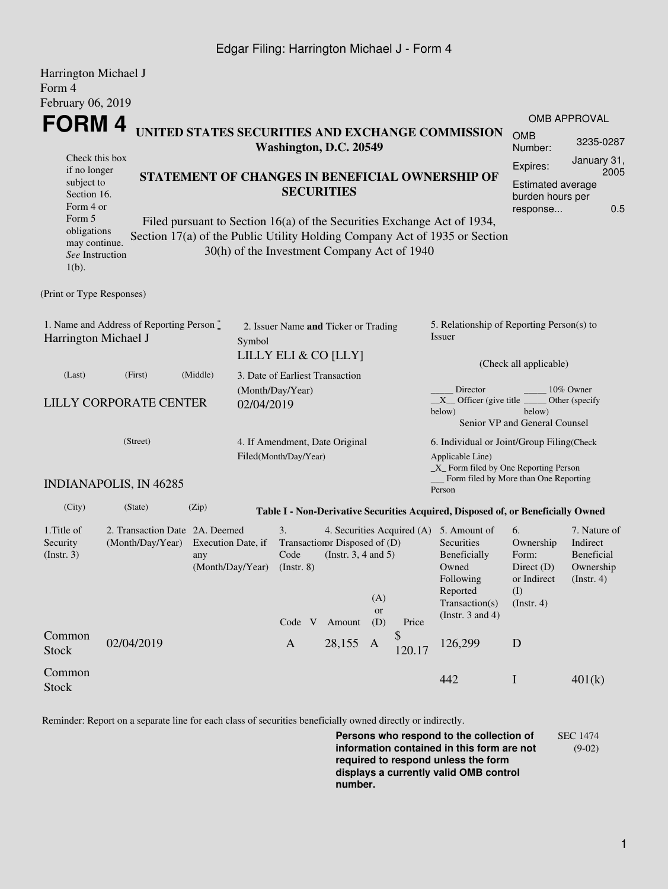## Edgar Filing: Harrington Michael J - Form 4

| Harrington Michael J<br>Form 4                                           |                                                    |                                                                                                                                                                                                                         |                                 |                                                              |                                                         |                                                                                                                                                  |                       |                                                                                                                                                  |                                                                               |                                                                    |  |  |
|--------------------------------------------------------------------------|----------------------------------------------------|-------------------------------------------------------------------------------------------------------------------------------------------------------------------------------------------------------------------------|---------------------------------|--------------------------------------------------------------|---------------------------------------------------------|--------------------------------------------------------------------------------------------------------------------------------------------------|-----------------------|--------------------------------------------------------------------------------------------------------------------------------------------------|-------------------------------------------------------------------------------|--------------------------------------------------------------------|--|--|
| February 06, 2019                                                        |                                                    |                                                                                                                                                                                                                         |                                 |                                                              |                                                         |                                                                                                                                                  |                       |                                                                                                                                                  |                                                                               |                                                                    |  |  |
|                                                                          | FORM 4                                             |                                                                                                                                                                                                                         |                                 |                                                              |                                                         |                                                                                                                                                  |                       |                                                                                                                                                  | <b>OMB APPROVAL</b>                                                           |                                                                    |  |  |
|                                                                          |                                                    | UNITED STATES SECURITIES AND EXCHANGE COMMISSION<br>Washington, D.C. 20549                                                                                                                                              |                                 |                                                              |                                                         |                                                                                                                                                  |                       |                                                                                                                                                  |                                                                               |                                                                    |  |  |
| Check this box<br>if no longer<br>subject to<br>Section 16.<br>Form 4 or |                                                    | STATEMENT OF CHANGES IN BENEFICIAL OWNERSHIP OF<br><b>SECURITIES</b>                                                                                                                                                    |                                 |                                                              |                                                         |                                                                                                                                                  |                       |                                                                                                                                                  |                                                                               |                                                                    |  |  |
| Form 5<br>obligations<br>may continue.<br>See Instruction<br>$1(b)$ .    |                                                    | 0.5<br>response<br>Filed pursuant to Section 16(a) of the Securities Exchange Act of 1934,<br>Section 17(a) of the Public Utility Holding Company Act of 1935 or Section<br>30(h) of the Investment Company Act of 1940 |                                 |                                                              |                                                         |                                                                                                                                                  |                       |                                                                                                                                                  |                                                                               |                                                                    |  |  |
| (Print or Type Responses)                                                |                                                    |                                                                                                                                                                                                                         |                                 |                                                              |                                                         |                                                                                                                                                  |                       |                                                                                                                                                  |                                                                               |                                                                    |  |  |
| 1. Name and Address of Reporting Person*<br>Harrington Michael J         |                                                    |                                                                                                                                                                                                                         | Symbol                          | 2. Issuer Name and Ticker or Trading<br>LILLY ELI & CO [LLY] |                                                         |                                                                                                                                                  |                       | 5. Relationship of Reporting Person(s) to<br>Issuer                                                                                              |                                                                               |                                                                    |  |  |
| (Last)                                                                   | (First)                                            | (Middle)                                                                                                                                                                                                                | 3. Date of Earliest Transaction |                                                              |                                                         |                                                                                                                                                  |                       |                                                                                                                                                  | (Check all applicable)                                                        |                                                                    |  |  |
| LILLY CORPORATE CENTER                                                   | 02/04/2019                                         | (Month/Day/Year)                                                                                                                                                                                                        |                                 |                                                              |                                                         | Director<br>10% Owner<br>$X$ Officer (give title $\overline{\phantom{A}}$<br>Other (specify<br>below)<br>below)<br>Senior VP and General Counsel |                       |                                                                                                                                                  |                                                                               |                                                                    |  |  |
| (Street)                                                                 |                                                    |                                                                                                                                                                                                                         |                                 | 4. If Amendment, Date Original<br>Filed(Month/Day/Year)      |                                                         |                                                                                                                                                  |                       | 6. Individual or Joint/Group Filing(Check<br>Applicable Line)<br>_X_ Form filed by One Reporting Person<br>Form filed by More than One Reporting |                                                                               |                                                                    |  |  |
|                                                                          | <b>INDIANAPOLIS, IN 46285</b>                      |                                                                                                                                                                                                                         |                                 |                                                              |                                                         |                                                                                                                                                  |                       | Person                                                                                                                                           |                                                                               |                                                                    |  |  |
| (City)                                                                   | (State)                                            | (Zip)                                                                                                                                                                                                                   |                                 |                                                              |                                                         |                                                                                                                                                  |                       | Table I - Non-Derivative Securities Acquired, Disposed of, or Beneficially Owned                                                                 |                                                                               |                                                                    |  |  |
| 1. Title of<br>Security<br>(Insert. 3)                                   | 2. Transaction Date 2A. Deemed<br>(Month/Day/Year) | Execution Date, if<br>any<br>(Month/Day/Year)                                                                                                                                                                           |                                 | 3.<br>Code<br>$($ Instr. $8)$                                | Transaction Disposed of (D)<br>(Instr. $3, 4$ and $5$ ) | (A)<br>or                                                                                                                                        |                       | 4. Securities Acquired (A) 5. Amount of<br>Securities<br>Beneficially<br>Owned<br>Following<br>Reported<br>Transaction(s)                        | 6.<br>Ownership<br>Form:<br>Direct $(D)$<br>or Indirect<br>(I)<br>(Insert. 4) | 7. Nature of<br>Indirect<br>Beneficial<br>Ownership<br>(Insert. 4) |  |  |
| Common<br><b>Stock</b>                                                   | 02/04/2019                                         |                                                                                                                                                                                                                         |                                 | Code V<br>$\mathbf{A}$                                       | Amount<br>28,155                                        | (D)<br>A                                                                                                                                         | Price<br>\$<br>120.17 | (Instr. $3$ and $4$ )<br>126,299                                                                                                                 | D                                                                             |                                                                    |  |  |
| Common<br><b>Stock</b>                                                   |                                                    |                                                                                                                                                                                                                         |                                 |                                                              |                                                         |                                                                                                                                                  |                       | 442                                                                                                                                              | $\mathbf I$                                                                   | 401(k)                                                             |  |  |

Reminder: Report on a separate line for each class of securities beneficially owned directly or indirectly.

**Persons who respond to the collection of information contained in this form are not required to respond unless the form displays a currently valid OMB control number.** SEC 1474 (9-02)